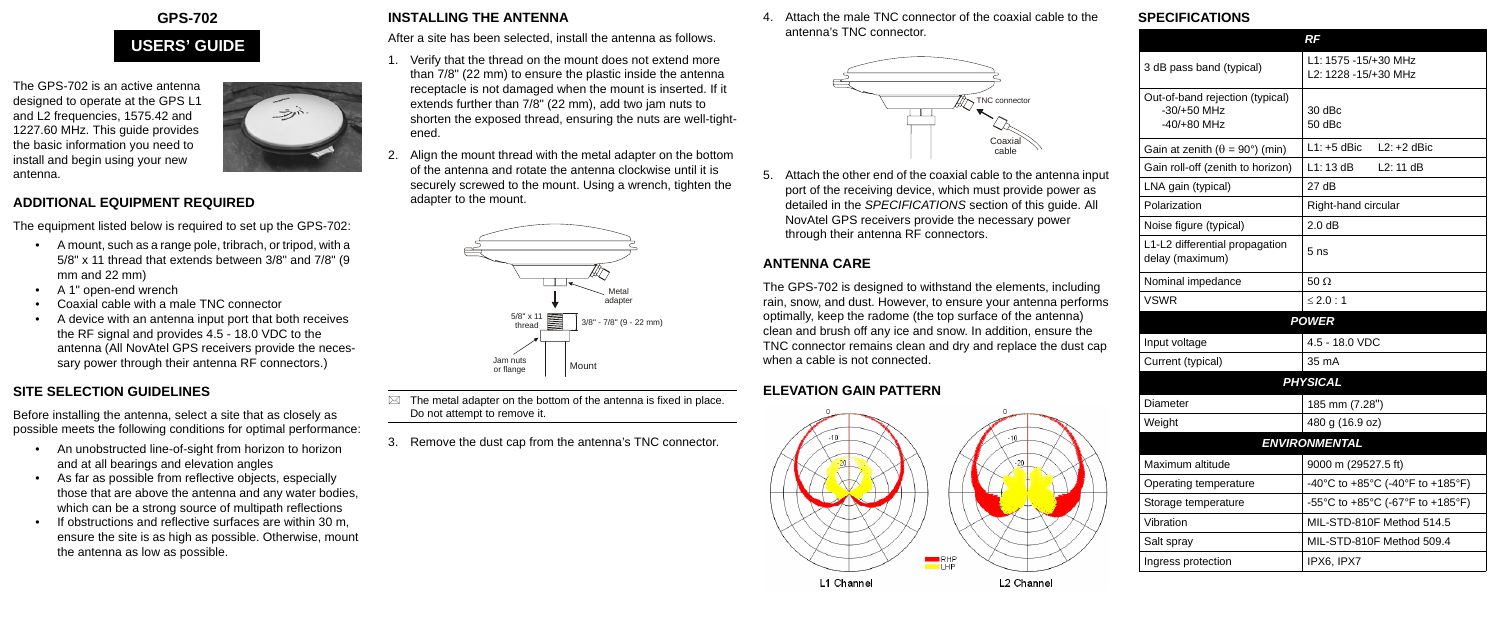

The GPS-702 is an active antenna designed to operate at the GPS L1 and L2 frequencies, 1575.42 and 1227.60 MHz. This guide provides the basic information you need to install and begin using your new antenna.

#### **ADDITIONAL EQUIPMENT REQUIRED**

The equipment listed below is required to set up the GPS-702:

- A mount, such as a range pole, tribrach, or tripod, with a 5/8" x 11 thread that extends between 3/8" and 7/8" (9 mm and 22 mm)
- A 1" open-end wrench
- Coaxial cable with a male TNC connector
- A device with an antenna input port that both receives the RF signal and provides 4.5 - 18.0 VDC to the antenna (All NovAtel GPS receivers provide the necessary power through their antenna RF connectors.)

## **SITE SELECTION GUIDELINES**

Before installing the antenna, select a site that as closely as possible meets the following conditions for optimal performance:

- $\boxtimes$  The metal adapter on the bottom of the antenna is fixed in place. Do not attempt to remove it.
- 3. Remove the dust cap from the antenna's TNC connector.
- An unobstructed line-of-sight from horizon to horizon and at all bearings and elevation angles
- As far as possible from reflective objects, especially those that are above the antenna and any water bodies, which can be a strong source of multipath reflections
- If obstructions and reflective surfaces are within 30 m, ensure the site is as high as possible. Otherwise, mount the antenna as low as possible.

# **INSTALLING THE ANTENNA**

After a site has been selected, install the antenna as follows.

- 1. Verify that the thread on the mount does not extend more than 7/8" (22 mm) to ensure the plastic inside the antenna receptacle is not damaged when the mount is inserted. If it extends further than 7/8" (22 mm), add two jam nuts to shorten the exposed thread, ensuring the nuts are well-tightened.
- Align the mount thread with the metal adapter on the bottom of the antenna and rotate the antenna clockwise until it is securely screwed to the mount. Using a wrench, tighten the adapter to the mount.

4. Attach the male TNC connector of the coaxial cable to the antenna's TNC connector.

5. Attach the other end of the coaxial cable to the antenna input port of the receiving device, which must provide power as detailed in the *SPECIFICATIONS* section of this guide. All NovAtel GPS receivers provide the necessary power through their antenna RF connectors.

# **ANTENNA CARE**

The GPS-702 is designed to withstand the elements, including rain, snow, and dust. However, to ensure your antenna performs optimally, keep the radome (the top surface of the antenna) clean and brush off any ice and snow. In addition, ensure the TNC connector remains clean and dry and replace the dust cap when a cable is not connected.

# **ELEVATION GAIN PATTERN**



### **SPECIFICATIONS**

# **USERS' GUIDE**

 $\Rightarrow$ 





|                                                                   | RF                                                        |  |
|-------------------------------------------------------------------|-----------------------------------------------------------|--|
| 3 dB pass band (typical)                                          | L1: 1575 -15/+30 MHz<br>L <sub>2</sub> : 1228 -15/+30 MHz |  |
| Out-of-band rejection (typical)<br>$-30/+50$ MHz<br>$-40/+80$ MHz | 30 dBc<br>50 dBc                                          |  |
| Gain at zenith ( $\theta = 90^{\circ}$ ) (min)                    | $L1: +5$ dBic<br>$L2: +2$ dBic                            |  |
| Gain roll-off (zenith to horizon)                                 | L1:13dB<br>L2:11dB                                        |  |
| LNA gain (typical)                                                | 27dB                                                      |  |
| Polarization                                                      | Right-hand circular                                       |  |
| Noise figure (typical)                                            | 2.0 dB                                                    |  |
| L1-L2 differential propagation<br>delay (maximum)                 | 5 <sub>ns</sub>                                           |  |
| Nominal impedance                                                 | $50 \Omega$                                               |  |
| <b>VSWR</b>                                                       | $\leq 2.0 : 1$                                            |  |
|                                                                   | <b>POWER</b>                                              |  |
| Input voltage                                                     | 4.5 - 18.0 VDC                                            |  |
| Current (typical)                                                 | 35 mA                                                     |  |
|                                                                   | <b>PHYSICAL</b>                                           |  |
| Diameter                                                          | 185 mm (7.28")                                            |  |
| Weight                                                            | 480 g (16.9 oz)                                           |  |
|                                                                   | <b>ENVIRONMENTAL</b>                                      |  |
| Maximum altitude                                                  | 9000 m (29527.5 ft)                                       |  |
| Operating temperature                                             | -40°C to +85°C (-40°F to +185°F)                          |  |
| Storage temperature                                               | -55°C to +85°C (-67°F to +185°F)                          |  |
| Vibration                                                         | MIL-STD-810F Method 514.5                                 |  |
| Salt spray                                                        | MIL-STD-810F Method 509.4                                 |  |
| Ingress protection                                                | IPX6, IPX7                                                |  |